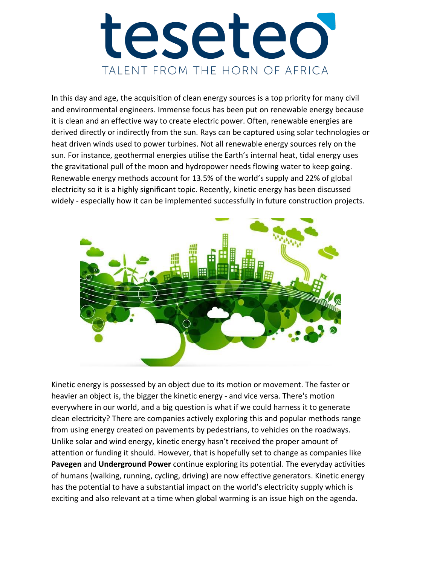# tesetec TALENT FROM THE HORN OF AFRICA

In this day and age, the acquisition of clean energy sources is a top priority for many civil and environmental engineers. Immense focus has been put on renewable energy because it is clean and an effective way to create electric power. Often, renewable energies are derived directly or indirectly from the sun. Rays can be captured using [solar t](http://www.studentenergy.org/topics/solar)echnologies or heat driven winds used to power turbines. Not all renewable energy sources rely on the sun. [For instance, geothermal](http://www.studentenergy.org/topics/geothermal) energies utilise the Earth's internal heat, tidal energy uses the gravitational pull of the moon and [hydropower n](http://www.studentenergy.org/topics/hydro-power)eeds flowing water to keep going. Renewable energy methods account for 13.5% of the world's supply and 22% of global electricity so it is a highly significant topic. Recently, kinetic energy has been discussed widely - especially how it can be implemented successfully in future construction projects.



Kinetic energy is possessed by an object due to its motion or movement. The faster or heavier an object is, the bigger the kinetic energy - and vice versa. There's motion everywhere in our world, and a big question is what if we could harness it to generate clean electricity? There are companies actively exploring this and popular methods range from using energy created on pavements by pedestrians, to vehicles on the roadways. Unlike solar and wind energy, kinetic energy hasn't received the proper amount of attention or funding it should. However, that is hopefully set to change as companies like **Pavegen** and **Underground Power** continue exploring its potential. The everyday activities of humans (walking, running, cycling, driving) are now effective generators. Kinetic energy has the potential to have a substantial impact on the world's electricity supply which is exciting and also relevant at a time when global warming is an issue high on the agenda.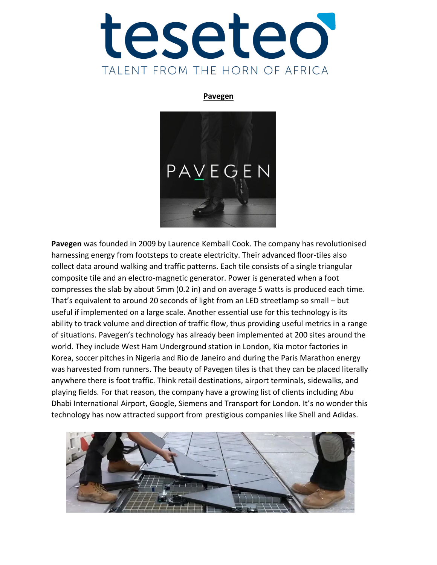

#### **Pavegen**



**Pavegen** was founded in 2009 by Laurence Kemball Cook. The company has revolutionised harnessing energy from footsteps to create electricity. Their advanced floor-tiles also collect data around walking and traffic patterns. Each tile consists of a single triangular composite tile and an electro-magnetic generator. Power is generated when a foot compresses the slab by about 5mm (0.2 in) and on average 5 watts is produced each time. That's equivalent to around 20 seconds of light from an LED streetlamp so small – but useful if implemented on a large scale. Another essential use for this technology is its ability to track volume and direction of traffic flow, thus providing useful metrics in a range of situations. Pavegen's technology has already been implemented at 200 sites around the world. They include West Ham Underground station in London, Kia motor factories in Korea, soccer pitches in Nigeria and Rio de Janeiro and during the Paris Marathon energy was harvested from runners. The beauty of Pavegen tiles is that they can be placed literally anywhere there is foot traffic. Think retail destinations, airport terminals, sidewalks, and playing fields. For that reason, the company have a growing list of clients including Abu Dhabi International Airport, Google, Siemens and Transport for London. It's no wonder this technology has now attracted support from prestigious companies like Shell and Adidas.

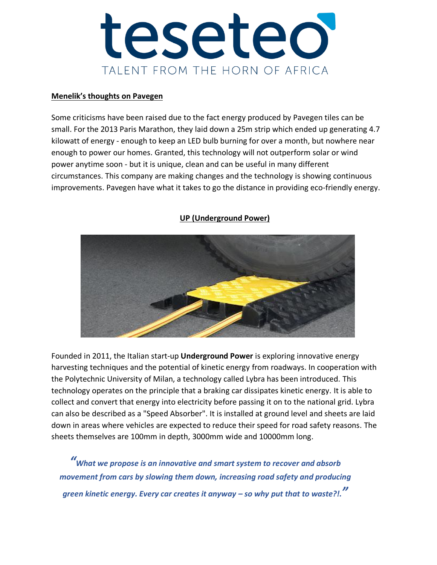

#### **Menelik's thoughts on Pavegen**

Some criticisms have been raised due to the fact energy produced by Pavegen tiles can be small. For the 2013 Paris Marathon, they laid down a 25m strip which ended up generating 4.7 kilowatt of energy - enough to keep an LED bulb burning for over a month, but nowhere near enough to power our homes. Granted, this technology will not outperform solar or wind power anytime soon - but it is unique, clean and can be useful in many different circumstances. This company are making changes and the technology is showing continuous improvements. Pavegen have what it takes to go the distance in providing eco-friendly energy.



### **UP (Underground Power)**

Founded in 2011, the Italian start-up **Underground Power** is exploring innovative energy harvesting techniques and the potential of kinetic energy from roadways. In cooperation with the Polytechnic University of Milan, a technology called Lybra has been introduced. This technology operates on the principle that a braking car dissipates kinetic energy. It is able to collect and convert that energy into electricity before passing it on to the national grid. Lybra can also be described as a "Speed Absorber". It is installed at ground level and sheets are laid down in areas where vehicles are expected to reduce their speed for road safety reasons. The sheets themselves are 100mm in depth, 3000mm wide and 10000mm long.

*"What we propose is an innovative and smart system to recover and absorb movement from cars by slowing them down, increasing road safety and producing green kinetic [energy. Every car creates it anyway](https://www.hitc.com/en-gb/topic/green-energy/) – so why put that to waste?!."*